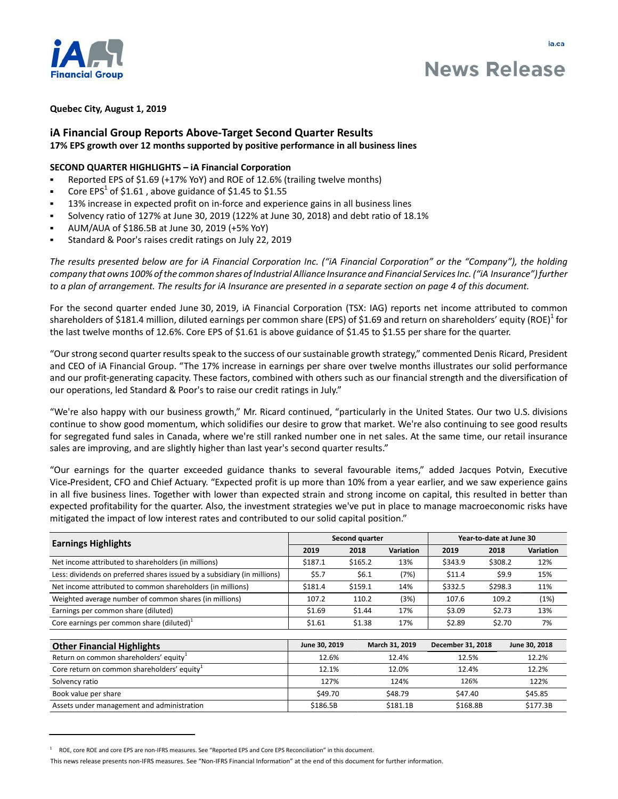

ja.ca

# **iA Financial Group Reports Above-Target Second Quarter Results 17% EPS growth over 12 months supported by positive performance in all business lines**

## **SECOND QUARTER HIGHLIGHTS – iA Financial Corporation**

- Reported EPS of \$1.69 (+17% YoY) and ROE of 12.6% (trailing twelve months)
- Core EPS<sup>1</sup> of \$1.61, above guidance of \$1.45 to \$1.55
- 13% increase in expected profit on in-force and experience gains in all business lines
- Solvency ratio of 127% at June 30, 2019 (122% at June 30, 2018) and debt ratio of 18.1%
- AUM/AUA of \$186.5B at June 30, 2019 (+5% YoY)
- Standard & Poor's raises credit ratings on July 22, 2019

*The results presented below are for iA Financial Corporation Inc. ("iA Financial Corporation" or the "Company"), the holding company that owns 100% of the common shares of Industrial Alliance Insurance and Financial Services Inc. ("iA Insurance") further to a plan of arrangement. The results for iA Insurance are presented in a separate section on page 4 of this document.* 

For the second quarter ended June 30, 2019, iA Financial Corporation (TSX: IAG) reports net income attributed to common shareholders of \$181.4 million, diluted earnings per common share (EPS) of \$1.69 and return on shareholders' equity (ROE) $^1$  for the last twelve months of 12.6%. Core EPS of \$1.61 is above guidance of \$1.45 to \$1.55 per share for the quarter.

"Our strong second quarter results speak to the success of our sustainable growth strategy," commented Denis Ricard, President and CEO of iA Financial Group. "The 17% increase in earnings per share over twelve months illustrates our solid performance and our profit-generating capacity. These factors, combined with others such as our financial strength and the diversification of our operations, led Standard & Poor's to raise our credit ratings in July."

"We're also happy with our business growth," Mr. Ricard continued, "particularly in the United States. Our two U.S. divisions continue to show good momentum, which solidifies our desire to grow that market. We're also continuing to see good results for segregated fund sales in Canada, where we're still ranked number one in net sales. At the same time, our retail insurance sales are improving, and are slightly higher than last year's second quarter results."

"Our earnings for the quarter exceeded guidance thanks to several favourable items," added Jacques Potvin, Executive Vice President, CFO and Chief Actuary. "Expected profit is up more than 10% from a year earlier, and we saw experience gains in all five business lines. Together with lower than expected strain and strong income on capital, this resulted in better than expected profitability for the quarter. Also, the investment strategies we've put in place to manage macroeconomic risks have mitigated the impact of low interest rates and contributed to our solid capital position."

| <b>Earnings Highlights</b>                                               | Second quarter |         |                | Year-to-date at June 30 |         |                  |
|--------------------------------------------------------------------------|----------------|---------|----------------|-------------------------|---------|------------------|
|                                                                          | 2019           | 2018    | Variation      | 2019                    | 2018    | <b>Variation</b> |
| Net income attributed to shareholders (in millions)                      | \$187.1        | \$165.2 | 13%            | \$343.9                 | \$308.2 | 12%              |
| Less: dividends on preferred shares issued by a subsidiary (in millions) | \$5.7          | \$6.1   | (7%)           | \$11.4                  | \$9.9   | 15%              |
| Net income attributed to common shareholders (in millions)               | \$181.4        | \$159.1 | 14%            | \$332.5                 | \$298.3 | 11%              |
| Weighted average number of common shares (in millions)                   | 107.2          | 110.2   | (3%)           | 107.6                   | 109.2   | (1%)             |
| Earnings per common share (diluted)                                      | \$1.69         | \$1.44  | 17%            | \$3.09                  | \$2.73  | 13%              |
| Core earnings per common share (diluted) $1$                             | \$1.61         | \$1.38  | 17%            | \$2.89                  | \$2.70  | 7%               |
|                                                                          |                |         |                |                         |         |                  |
| <b>Other Financial Highlights</b>                                        | June 30, 2019  |         | March 31, 2019 | December 31, 2018       |         | June 30, 2018    |
| Return on common shareholders' equity <sup>+</sup>                       | 12.6%          |         | 12.1%          | 17 5%                   |         | 12.2%            |

| $5.001$ completed in the contract of the contract of the contract of $\sim$ |          |          |          |          |
|-----------------------------------------------------------------------------|----------|----------|----------|----------|
| Return on common shareholders' equity                                       | 12.6%    | 12.4%    | 12.5%    | 12.2%    |
| Core return on common shareholders' equity*                                 | 12.1%    | 12.0%    | 12.4%    | 12.2%    |
| Solvency ratio                                                              | 127%     | 124%     | 126%     | 122%     |
| Book value per share                                                        | \$49.70  | \$48.79  | \$47.40  | \$45.85  |
| Assets under management and administration                                  | \$186.5B | \$181.1B | \$168.8B | \$177.3B |

<sup>1</sup> ROE, core ROE and core EPS are non-IFRS measures. See "Reported EPS and Core EPS Reconciliation" in this document.

This news release presents non-IFRS measures. See "Non-IFRS Financial Information" at the end of this document for further information.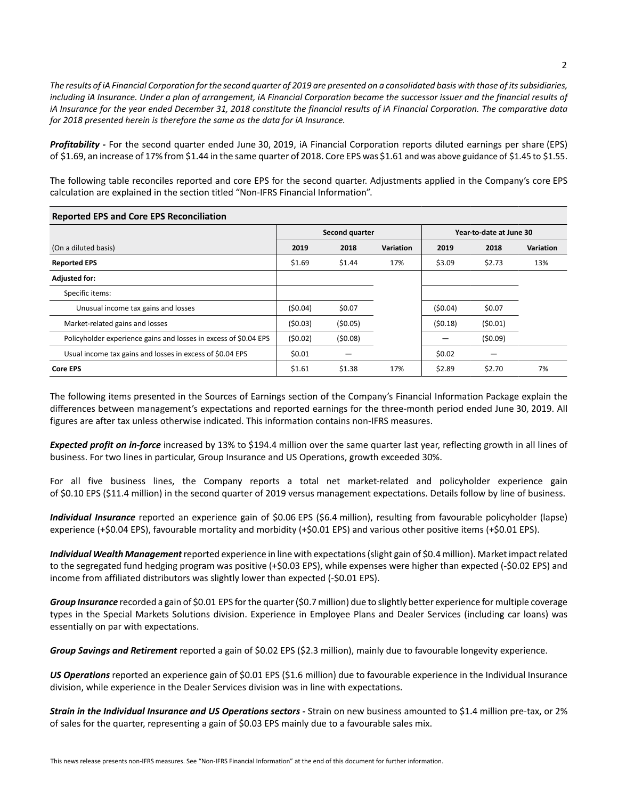*The results of iA Financial Corporation for the second quarter of 2019 are presented on a consolidated basis with those of its subsidiaries, including iA Insurance. Under a plan of arrangement, iA Financial Corporation became the successor issuer and the financial results of iA Insurance for the year ended December 31, 2018 constitute the financial results of iA Financial Corporation. The comparative data for 2018 presented herein is therefore the same as the data for iA Insurance.*

*Profitability -* For the second quarter ended June 30, 2019, iA Financial Corporation reports diluted earnings per share (EPS) of \$1.69, an increase of 17% from \$1.44 in the same quarter of 2018. Core EPS was \$1.61 and was above guidance of \$1.45 to \$1.55.

The following table reconciles reported and core EPS for the second quarter. Adjustments applied in the Company's core EPS calculation are explained in the section titled "Non-IFRS Financial Information".

| <b>Reported EPS and Core EPS Reconciliation</b>                  |                |         |                  |                         |         |                  |
|------------------------------------------------------------------|----------------|---------|------------------|-------------------------|---------|------------------|
|                                                                  | Second quarter |         |                  | Year-to-date at June 30 |         |                  |
| (On a diluted basis)                                             | 2019           | 2018    | <b>Variation</b> | 2019                    | 2018    | <b>Variation</b> |
| <b>Reported EPS</b>                                              | \$1.69         | \$1.44  | 17%              | \$3.09                  | \$2.73  | 13%              |
| <b>Adjusted for:</b>                                             |                |         |                  |                         |         |                  |
| Specific items:                                                  |                |         |                  |                         |         |                  |
| Unusual income tax gains and losses                              | (50.04)        | \$0.07  |                  | (50.04)                 | \$0.07  |                  |
| Market-related gains and losses                                  | (50.03)        | (50.05) |                  | (50.18)                 | (50.01) |                  |
| Policyholder experience gains and losses in excess of \$0.04 EPS | (50.02)        | (50.08) |                  |                         | (50.09) |                  |
| Usual income tax gains and losses in excess of \$0.04 EPS        | \$0.01         |         |                  | \$0.02                  |         |                  |
| <b>Core EPS</b>                                                  | \$1.61         | \$1.38  | 17%              | \$2.89                  | \$2.70  | 7%               |

The following items presented in the Sources of Earnings section of the Company's Financial Information Package explain the differences between management's expectations and reported earnings for the three-month period ended June 30, 2019. All figures are after tax unless otherwise indicated. This information contains non-IFRS measures.

*Expected profit on in-force* increased by 13% to \$194.4 million over the same quarter last year, reflecting growth in all lines of business. For two lines in particular, Group Insurance and US Operations, growth exceeded 30%.

For all five business lines, the Company reports a total net market-related and policyholder experience gain of \$0.10 EPS (\$11.4 million) in the second quarter of 2019 versus management expectations. Details follow by line of business.

*Individual Insurance* reported an experience gain of \$0.06 EPS (\$6.4 million), resulting from favourable policyholder (lapse) experience (+\$0.04 EPS), favourable mortality and morbidity (+\$0.01 EPS) and various other positive items (+\$0.01 EPS).

*Individual Wealth Management* reported experience in line with expectations (slight gain of \$0.4 million). Market impact related to the segregated fund hedging program was positive (+\$0.03 EPS), while expenses were higher than expected (-\$0.02 EPS) and income from affiliated distributors was slightly lower than expected (-\$0.01 EPS).

*Group Insurance* recorded a gain of \$0.01 EPS for the quarter (\$0.7 million) due to slightly better experience for multiple coverage types in the Special Markets Solutions division. Experience in Employee Plans and Dealer Services (including car loans) was essentially on par with expectations.

*Group Savings and Retirement* reported a gain of \$0.02 EPS (\$2.3 million), mainly due to favourable longevity experience.

*US Operations* reported an experience gain of \$0.01 EPS (\$1.6 million) due to favourable experience in the Individual Insurance division, while experience in the Dealer Services division was in line with expectations.

*Strain in the Individual Insurance and US Operations sectors -* Strain on new business amounted to \$1.4 million pre-tax, or 2% of sales for the quarter, representing a gain of \$0.03 EPS mainly due to a favourable sales mix.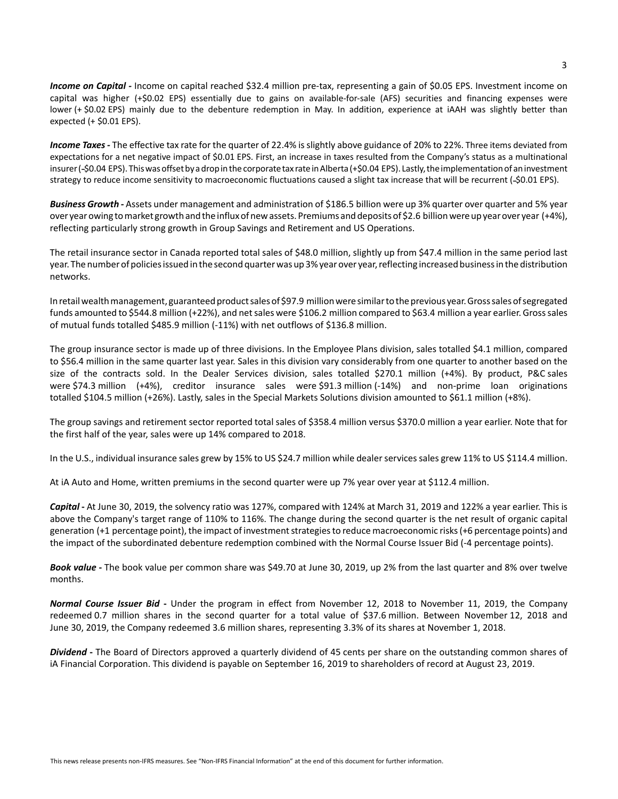Income on Capital - Income on capital reached \$32.4 million pre-tax, representing a gain of \$0.05 EPS. Investment income on capital was higher (+\$0.02 EPS) essentially due to gains on available-for-sale (AFS) securities and financing expenses were lower (+ \$0.02 EPS) mainly due to the debenture redemption in May. In addition, experience at iAAH was slightly better than expected (+ \$0.01 EPS).

*Income Taxes -* The effective tax rate for the quarter of 22.4% is slightly above guidance of 20% to 22%. Three items deviated from expectations for a net negative impact of \$0.01 EPS. First, an increase in taxes resulted from the Company's status as a multinational insurer (-\$0.04 EPS). This was offset by a drop in the corporate tax rate in Alberta (+\$0.04 EPS). Lastly, the implementation of an investment strategy to reduce income sensitivity to macroeconomic fluctuations caused a slight tax increase that will be recurrent (-\$0.01 EPS).

*Business Growth -* Assets under management and administration of \$186.5 billion were up 3% quarter over quarter and 5% year over year owing to market growth and the influx of new assets. Premiums and deposits of \$2.6 billion were up year over year (+4%), reflecting particularly strong growth in Group Savings and Retirement and US Operations.

The retail insurance sector in Canada reported total sales of \$48.0 million, slightly up from \$47.4 million in the same period last year. The number of policies issued in the second quarter was up 3% year over year, reflecting increased business in the distribution networks.

In retail wealth management, guaranteed product sales of \$97.9 million were similar to the previous year. Gross sales of segregated funds amounted to \$544.8 million (+22%), and net sales were \$106.2 million compared to \$63.4 million a year earlier. Gross sales of mutual funds totalled \$485.9 million (-11%) with net outflows of \$136.8 million.

The group insurance sector is made up of three divisions. In the Employee Plans division, sales totalled \$4.1 million, compared to \$56.4 million in the same quarter last year. Sales in this division vary considerably from one quarter to another based on the size of the contracts sold. In the Dealer Services division, sales totalled \$270.1 million (+4%). By product, P&C sales were \$74.3 million (+4%), creditor insurance sales were \$91.3 million (-14%) and non-prime loan originations totalled \$104.5 million (+26%). Lastly, sales in the Special Markets Solutions division amounted to \$61.1 million (+8%).

The group savings and retirement sector reported total sales of \$358.4 million versus \$370.0 million a year earlier. Note that for the first half of the year, sales were up 14% compared to 2018.

In the U.S., individual insurance sales grew by 15% to US \$24.7 million while dealer services sales grew 11% to US \$114.4 million.

At iA Auto and Home, written premiums in the second quarter were up 7% year over year at \$112.4 million.

*Capital* **-** At June 30, 2019, the solvency ratio was 127%, compared with 124% at March 31, 2019 and 122% a year earlier. This is above the Company's target range of 110% to 116%. The change during the second quarter is the net result of organic capital generation (+1 percentage point), the impact of investment strategies to reduce macroeconomic risks (+6 percentage points) and the impact of the subordinated debenture redemption combined with the Normal Course Issuer Bid (-4 percentage points).

*Book value* **-** The book value per common share was \$49.70 at June 30, 2019, up 2% from the last quarter and 8% over twelve months.

*Normal Course Issuer Bid* **-** Under the program in effect from November 12, 2018 to November 11, 2019, the Company redeemed 0.7 million shares in the second quarter for a total value of \$37.6 million. Between November 12, 2018 and June 30, 2019, the Company redeemed 3.6 million shares, representing 3.3% of its shares at November 1, 2018.

*Dividend* **-** The Board of Directors approved a quarterly dividend of 45 cents per share on the outstanding common shares of iA Financial Corporation. This dividend is payable on September 16, 2019 to shareholders of record at August 23, 2019.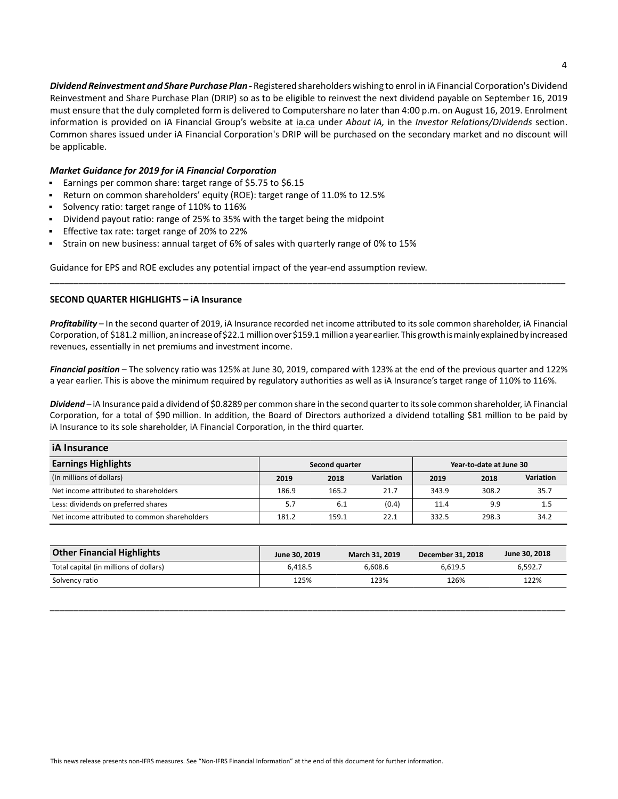*Dividend Reinvestment and Share Purchase Plan -* Registered shareholders wishing to enrol in iA Financial Corporation's Dividend Reinvestment and Share Purchase Plan (DRIP) so as to be eligible to reinvest the next dividend payable on September 16, 2019 must ensure that the duly completed form is delivered to Computershare no later than 4:00 p.m. on August 16, 2019. Enrolment information is provided on iA Financial Group's website at ia.ca under *About iA,* in the *Investor Relations/Dividends* section. Common shares issued under iA Financial Corporation's DRIP will be purchased on the secondary market and no discount will be applicable.

## *Market Guidance for 2019 for iA Financial Corporation*

- Earnings per common share: target range of \$5.75 to \$6.15  $\blacksquare$
- Return on common shareholders' equity (ROE): target range of 11.0% to 12.5%
- Solvency ratio: target range of 110% to 116%
- Dividend payout ratio: range of 25% to 35% with the target being the midpoint
- Effective tax rate: target range of 20% to 22%
- Strain on new business: annual target of 6% of sales with quarterly range of 0% to 15%

Guidance for EPS and ROE excludes any potential impact of the year-end assumption review.

## **SECOND QUARTER HIGHLIGHTS – iA Insurance**

*Profitability* – In the second quarter of 2019, iA Insurance recorded net income attributed to its sole common shareholder, iA Financial Corporation, of \$181.2 million, an increase of \$22.1 million over \$159.1 million a year earlier. This growth is mainly explained by increased revenues, essentially in net premiums and investment income.

\_\_\_\_\_\_\_\_\_\_\_\_\_\_\_\_\_\_\_\_\_\_\_\_\_\_\_\_\_\_\_\_\_\_\_\_\_\_\_\_\_\_\_\_\_\_\_\_\_\_\_\_\_\_\_\_\_\_\_\_\_\_\_\_\_\_\_\_\_\_\_\_\_\_\_\_\_\_\_\_\_\_\_\_\_\_\_\_\_\_\_\_\_\_\_\_\_\_\_\_\_\_\_\_\_\_\_\_

*Financial position* – The solvency ratio was 125% at June 30, 2019, compared with 123% at the end of the previous quarter and 122% a year earlier. This is above the minimum required by regulatory authorities as well as iA Insurance's target range of 110% to 116%.

*Dividend* – iA Insurance paid a dividend of \$0.8289 per common share in the second quarter to its sole common shareholder, iA Financial Corporation, for a total of \$90 million. In addition, the Board of Directors authorized a dividend totalling \$81 million to be paid by iA Insurance to its sole shareholder, iA Financial Corporation, in the third quarter.

| <b>iA Insurance</b>                          |                |       |           |                         |       |           |  |
|----------------------------------------------|----------------|-------|-----------|-------------------------|-------|-----------|--|
| <b>Earnings Highlights</b>                   | Second quarter |       |           | Year-to-date at June 30 |       |           |  |
| (In millions of dollars)                     | 2019           | 2018  | Variation | 2019                    | 2018  | Variation |  |
| Net income attributed to shareholders        | 186.9          | 165.2 | 21.7      | 343.9                   | 308.2 | 35.7      |  |
| Less: dividends on preferred shares          | 5.7            | 6.1   | (0.4)     | 11.4                    | 9.9   | 1.5       |  |
| Net income attributed to common shareholders | 181.2          | 159.1 | 22.1      | 332.5                   | 298.3 | 34.2      |  |

| <b>Other Financial Highlights</b>      | June 30, 2019 | March 31, 2019 | December 31, 2018 | June 30, 2018 |
|----------------------------------------|---------------|----------------|-------------------|---------------|
| Total capital (in millions of dollars) | 6.418.5       | 6.608.6        | 6.619.5           | 6.592.7       |
| Solvency ratio                         | 125%          | 123%           | 126%              | 122%          |

\_\_\_\_\_\_\_\_\_\_\_\_\_\_\_\_\_\_\_\_\_\_\_\_\_\_\_\_\_\_\_\_\_\_\_\_\_\_\_\_\_\_\_\_\_\_\_\_\_\_\_\_\_\_\_\_\_\_\_\_\_\_\_\_\_\_\_\_\_\_\_\_\_\_\_\_\_\_\_\_\_\_\_\_\_\_\_\_\_\_\_\_\_\_\_\_\_\_\_\_\_\_\_\_\_\_\_\_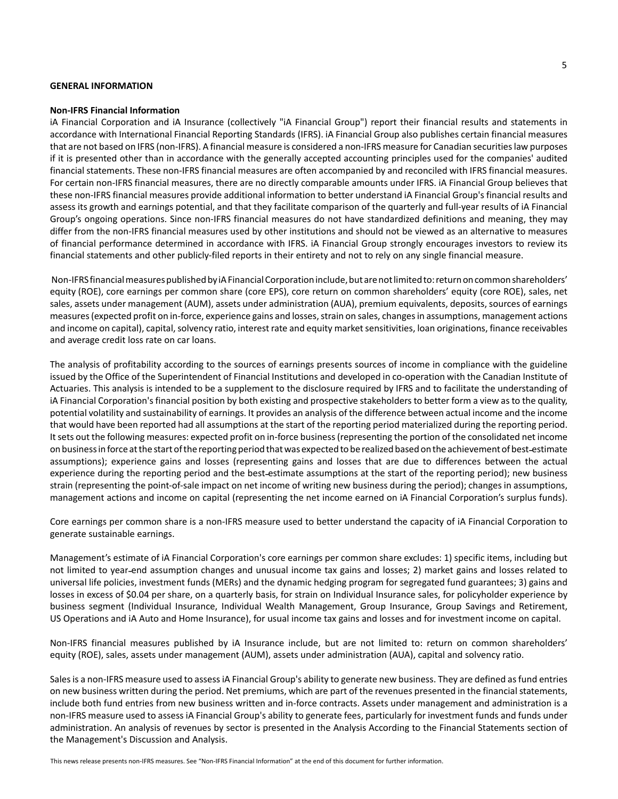### **GENERAL INFORMATION**

#### **Non-IFRS Financial Information**

iA Financial Corporation and iA Insurance (collectively "iA Financial Group") report their financial results and statements in accordance with International Financial Reporting Standards (IFRS). iA Financial Group also publishes certain financial measures that are not based on IFRS (non-IFRS). A financial measure is considered a non-IFRS measure for Canadian securities law purposes if it is presented other than in accordance with the generally accepted accounting principles used for the companies' audited financial statements. These non-IFRS financial measures are often accompanied by and reconciled with IFRS financial measures. For certain non-IFRS financial measures, there are no directly comparable amounts under IFRS. iA Financial Group believes that these non-IFRS financial measures provide additional information to better understand iA Financial Group's financial results and assess its growth and earnings potential, and that they facilitate comparison of the quarterly and full-year results of iA Financial Group's ongoing operations. Since non-IFRS financial measures do not have standardized definitions and meaning, they may differ from the non-IFRS financial measures used by other institutions and should not be viewed as an alternative to measures of financial performance determined in accordance with IFRS. iA Financial Group strongly encourages investors to review its financial statements and other publicly-filed reports in their entirety and not to rely on any single financial measure.

 Non-IFRS financial measures published by iA Financial Corporation include, but are not limited to: return on common shareholders' equity (ROE), core earnings per common share (core EPS), core return on common shareholders' equity (core ROE), sales, net sales, assets under management (AUM), assets under administration (AUA), premium equivalents, deposits, sources of earnings measures (expected profit on in-force, experience gains and losses, strain on sales, changes in assumptions, management actions and income on capital), capital, solvency ratio, interest rate and equity market sensitivities, loan originations, finance receivables and average credit loss rate on car loans.

The analysis of profitability according to the sources of earnings presents sources of income in compliance with the guideline issued by the Office of the Superintendent of Financial Institutions and developed in co-operation with the Canadian Institute of Actuaries. This analysis is intended to be a supplement to the disclosure required by IFRS and to facilitate the understanding of iA Financial Corporation's financial position by both existing and prospective stakeholders to better form a view as to the quality, potential volatility and sustainability of earnings. It provides an analysis of the difference between actual income and the income that would have been reported had all assumptions at the start of the reporting period materialized during the reporting period. It sets out the following measures: expected profit on in-force business (representing the portion of the consolidated net income on business in force at the start of the reporting period that was expected to be realized based on the achievement of best estimate assumptions); experience gains and losses (representing gains and losses that are due to differences between the actual experience during the reporting period and the best estimate assumptions at the start of the reporting period); new business strain (representing the point-of-sale impact on net income of writing new business during the period); changes in assumptions, management actions and income on capital (representing the net income earned on iA Financial Corporation's surplus funds).

Core earnings per common share is a non-IFRS measure used to better understand the capacity of iA Financial Corporation to generate sustainable earnings.

Management's estimate of iA Financial Corporation's core earnings per common share excludes: 1) specific items, including but not limited to year end assumption changes and unusual income tax gains and losses; 2) market gains and losses related to universal life policies, investment funds (MERs) and the dynamic hedging program for segregated fund guarantees; 3) gains and losses in excess of \$0.04 per share, on a quarterly basis, for strain on Individual Insurance sales, for policyholder experience by business segment (Individual Insurance, Individual Wealth Management, Group Insurance, Group Savings and Retirement, US Operations and iA Auto and Home Insurance), for usual income tax gains and losses and for investment income on capital.

Non-IFRS financial measures published by iA Insurance include, but are not limited to: return on common shareholders' equity (ROE), sales, assets under management (AUM), assets under administration (AUA), capital and solvency ratio.

Sales is a non-IFRS measure used to assess iA Financial Group's ability to generate new business. They are defined as fund entries on new business written during the period. Net premiums, which are part of the revenues presented in the financial statements, include both fund entries from new business written and in-force contracts. Assets under management and administration is a non-IFRS measure used to assess iA Financial Group's ability to generate fees, particularly for investment funds and funds under administration. An analysis of revenues by sector is presented in the Analysis According to the Financial Statements section of the Management's Discussion and Analysis.